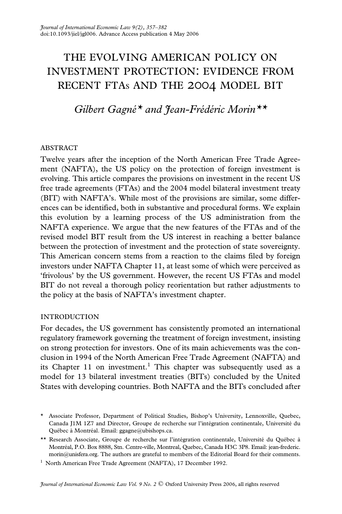# the evolving american policy on investment protection: evidence from recent ftas and the 2004 model bit

*Gilbert Gagné\* and Jean-Frédéric Morin\*\**

#### **ABSTRACT**

Twelve years after the inception of the North American Free Trade Agreement (NAFTA), the US policy on the protection of foreign investment is evolving. This article compares the provisions on investment in the recent US free trade agreements (FTAs) and the 2004 model bilateral investment treaty (BIT) with NAFTA's. While most of the provisions are similar, some differences can be identified, both in substantive and procedural forms. We explain this evolution by a learning process of the US administration from the NAFTA experience. We argue that the new features of the FTAs and of the revised model BIT result from the US interest in reaching a better balance between the protection of investment and the protection of state sovereignty. This American concern stems from a reaction to the claims filed by foreign investors under NAFTA Chapter 11, at least some of which were perceived as 'frivolous' by the US government. However, the recent US FTAs and model BIT do not reveal a thorough policy reorientation but rather adjustments to the policy at the basis of NAFTA's investment chapter.

#### **INTRODUCTION**

For decades, the US government has consistently promoted an international regulatory framework governing the treatment of foreign investment, insisting on strong protection for investors. One of its main achievements was the conclusion in 1994 of the North American Free Trade Agreement (NAFTA) and its Chapter 11 on investment.<sup>1</sup> This chapter was subsequently used as a model for 13 bilateral investment treaties (BITs) concluded by the United States with developing countries. Both NAFTA and the BITs concluded after

<sup>\*</sup> Associate Professor, Department of Political Studies, Bishop's University, Lennoxville, Quebec, Canada J1M 1Z7 and Director, Groupe de recherche sur l'intégration continentale, Université du Québec à Montréal. Email: [ggagne@ubishops.ca.](mailto:ggagne@ubishops.ca)

<sup>\*\*</sup> Research Associate, Groupe de recherche sur l'intégration continentale, Université du Québec à Montréal, P.O. Box 8888, Stn. Centre-ville, Montreal, Quebec, Canada H3C 3P8. Email: jean-frederic. [morin@unisfera.org.](mailto:morin@unisfera.org) The authors are grateful to members of the Editorial Board for their comments.

<sup>&</sup>lt;sup>1</sup> North American Free Trade Agreement (NAFTA), 17 December 1992.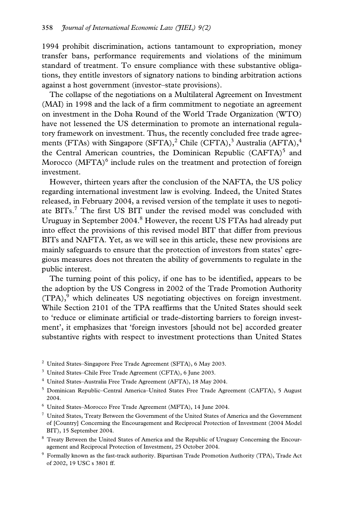1994 prohibit discrimination, actions tantamount to expropriation, money transfer bans, performance requirements and violations of the minimum standard of treatment. To ensure compliance with these substantive obligations, they entitle investors of signatory nations to binding arbitration actions against a host government (investor–state provisions).

The collapse of the negotiations on a Multilateral Agreement on Investment (MAI) in 1998 and the lack of a firm commitment to negotiate an agreement on investment in the Doha Round of the World Trade Organization (WTO) have not lessened the US determination to promote an international regulatory framework on investment. Thus, the recently concluded free trade agreements (FTAs) with Singapore (SFTA), $^2$  Chile (CFTA), $^3$  Australia (AFTA), $^4$ the Central American countries, the Dominican Republic (CAFTA)<sup>5</sup> and Morocco (MFTA)<sup>6</sup> include rules on the treatment and protection of foreign investment.

However, thirteen years after the conclusion of the NAFTA, the US policy regarding international investment law is evolving. Indeed, the United States released, in February 2004, a revised version of the template it uses to negotiate BITs.<sup>7</sup> The first US BIT under the revised model was concluded with Uruguay in September 2004.<sup>8</sup> However, the recent US FTAs had already put into effect the provisions of this revised model BIT that differ from previous BITs and NAFTA. Yet, as we will see in this article, these new provisions are mainly safeguards to ensure that the protection of investors from states' egregious measures does not threaten the ability of governments to regulate in the public interest.

The turning point of this policy, if one has to be identified, appears to be the adoption by the US Congress in 2002 of the Trade Promotion Authority  $(TPA)$ ,<sup>9</sup> which delineates US negotiating objectives on foreign investment. While Section 2101 of the TPA reaffirms that the United States should seek to 'reduce or eliminate artificial or trade-distorting barriers to foreign investment', it emphasizes that 'foreign investors [should not be] accorded greater substantive rights with respect to investment protections than United States

- <sup>6</sup> United States–Morocco Free Trade Agreement (MFTA), 14 June 2004.
- <sup>7</sup> United States, Treaty Between the Government of the United States of America and the Government of [Country] Concerning the Encouragement and Reciprocal Protection of Investment (2004 Model BIT), 15 September 2004.
- <sup>8</sup> Treaty Between the United States of America and the Republic of Uruguay Concerning the Encouragement and Reciprocal Protection of Investment, 25 October 2004.
- <sup>9</sup> Formally known as the fast-track authority. Bipartisan Trade Promotion Authority (TPA), Trade Act of 2002, 19 USC s 3801 ff.

<sup>2</sup> United States–Singapore Free Trade Agreement (SFTA), 6 May 2003.

<sup>&</sup>lt;sup>3</sup> United States–Chile Free Trade Agreement (CFTA), 6 June 2003.

<sup>4</sup> United States–Australia Free Trade Agreement (AFTA), 18 May 2004.

<sup>&</sup>lt;sup>5</sup> Dominican Republic–Central America–United States Free Trade Agreement (CAFTA), 5 August 2004.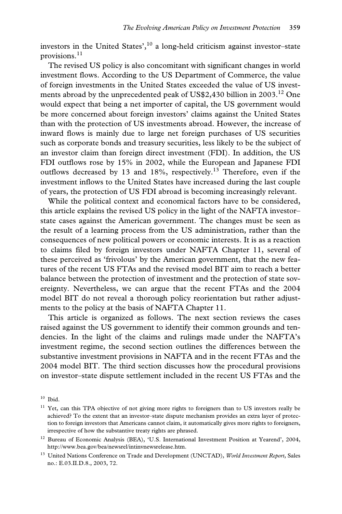investors in the United States', $^{10}$  a long-held criticism against investor-state provisions.11

The revised US policy is also concomitant with significant changes in world investment flows. According to the US Department of Commerce, the value of foreign investments in the United States exceeded the value of US investments abroad by the unprecedented peak of US\$2,430 billion in 2003.<sup>12</sup> One would expect that being a net importer of capital, the US government would be more concerned about foreign investors' claims against the United States than with the protection of US investments abroad. However, the increase of inward flows is mainly due to large net foreign purchases of US securities such as corporate bonds and treasury securities, less likely to be the subject of an investor claim than foreign direct investment (FDI). In addition, the US FDI outflows rose by 15% in 2002, while the European and Japanese FDI outflows decreased by 13 and 18%, respectively.<sup>13</sup> Therefore, even if the investment inflows to the United States have increased during the last couple of years, the protection of US FDI abroad is becoming increasingly relevant.

While the political context and economical factors have to be considered, this article explains the revised US policy in the light of the NAFTA investor– state cases against the American government. The changes must be seen as the result of a learning process from the US administration, rather than the consequences of new political powers or economic interests. It is as a reaction to claims filed by foreign investors under NAFTA Chapter 11, several of these perceived as 'frivolous' by the American government, that the new features of the recent US FTAs and the revised model BIT aim to reach a better balance between the protection of investment and the protection of state sovereignty. Nevertheless, we can argue that the recent FTAs and the 2004 model BIT do not reveal a thorough policy reorientation but rather adjustments to the policy at the basis of NAFTA Chapter 11.

This article is organized as follows. The next section reviews the cases raised against the US government to identify their common grounds and tendencies. In the light of the claims and rulings made under the NAFTA's investment regime, the second section outlines the differences between the substantive investment provisions in NAFTA and in the recent FTAs and the 2004 model BIT. The third section discusses how the procedural provisions on investor–state dispute settlement included in the recent US FTAs and the

 $10$  Ibid.

<sup>&</sup>lt;sup>11</sup> Yet, can this TPA objective of not giving more rights to foreigners than to US investors really be achieved? To the extent that an investor–state dispute mechanism provides an extra layer of protection to foreign investors that Americans cannot claim, it automatically gives more rights to foreigners, irrespective of how the substantive treaty rights are phrased.

<sup>&</sup>lt;sup>12</sup> Bureau of Economic Analysis (BEA), 'U.S. International Investment Position at Yearend', 2004, [http://www.bea.gov/bea/newsrel/intinvnewsrelease.htm.](http://www.bea.gov/bea/newsrel/intinvnewsrelease.htm)

<sup>13</sup> United Nations Conference on Trade and Development (UNCTAD), *World Investment Report*, Sales no.: E.03.II.D.8., 2003, 72.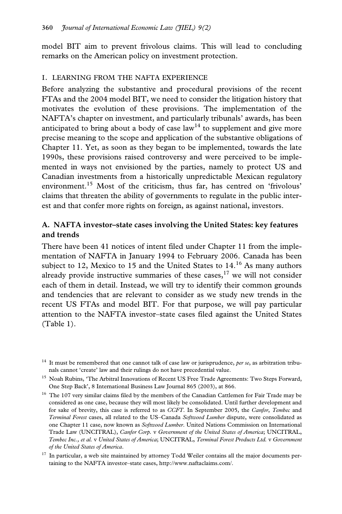model BIT aim to prevent frivolous claims. This will lead to concluding remarks on the American policy on investment protection.

## i. learning from the nafta experience

Before analyzing the substantive and procedural provisions of the recent FTAs and the 2004 model BIT, we need to consider the litigation history that motivates the evolution of these provisions. The implementation of the NAFTA's chapter on investment, and particularly tribunals' awards, has been anticipated to bring about a body of case  $law<sup>14</sup>$  to supplement and give more precise meaning to the scope and application of the substantive obligations of Chapter 11. Yet, as soon as they began to be implemented, towards the late 1990s, these provisions raised controversy and were perceived to be implemented in ways not envisioned by the parties, namely to protect US and Canadian investments from a historically unpredictable Mexican regulatory environment.<sup>15</sup> Most of the criticism, thus far, has centred on 'frivolous' claims that threaten the ability of governments to regulate in the public interest and that confer more rights on foreign, as against national, investors.

## **A. NAFTA investor–state cases involving the United States: key features and trends**

There have been 41 notices of intent filed under Chapter 11 from the implementation of NAFTA in January 1994 to February 2006. Canada has been subject to 12, Mexico to 15 and the United States to  $14<sup>16</sup>$  As many authors already provide instructive summaries of these cases,  $17$  we will not consider each of them in detail. Instead, we will try to identify their common grounds and tendencies that are relevant to consider as we study new trends in the recent US FTAs and model BIT. For that purpose, we will pay particular attention to the NAFTA investor–state cases filed against the United States (Table 1).

<sup>14</sup> It must be remembered that one cannot talk of case law or jurisprudence, *per se*, as arbitration tribunals cannot 'create' law and their rulings do not have precedential value.

<sup>&</sup>lt;sup>15</sup> Noah Rubins, 'The Arbitral Innovations of Recent US Free Trade Agreements: Two Steps Forward, One Step Back', 8 International Business Law Journal 865 (2003), at 866.

<sup>&</sup>lt;sup>16</sup> The 107 very similar claims filed by the members of the Canadian Cattlemen for Fair Trade may be considered as one case, because they will most likely be consolidated. Until further development and for sake of brevity, this case is referred to as *CCFT*. In September 2005, the *Canfor*, *Tembec* and *Terminal Forest* cases, all related to the US–Canada *Softwood Lumber* dispute, were consolidated as one Chapter 11 case, now known as *Softwood Lumber*. United Nations Commission on International Trade Law (UNCITRAL), *Canfor Corp.* v *Government of the United States of America*; UNCITRAL, *Tembec Inc., et al.* v *United States of America*; UNCITRAL, *Terminal Forest Products Ltd.* v *Government of the United States of America*.

<sup>&</sup>lt;sup>17</sup> In particular, a web site maintained by attorney Todd Weiler contains all the major documents pertaining to the NAFTA investor–state cases, [http://www.naftaclaims.com/.](http://www.naftaclaims.com)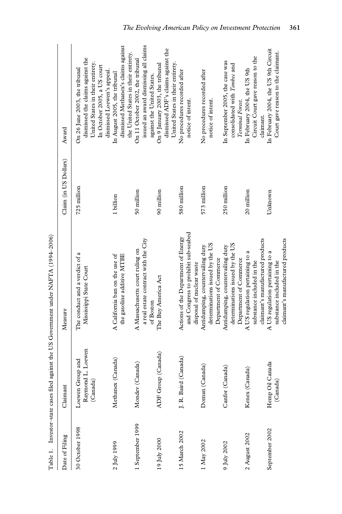|                  |                                                   | Table 1. Investor-state cases filed against the US Government under NAFTA (1994-2006)                   |                       |                                                                                                                                                                    |
|------------------|---------------------------------------------------|---------------------------------------------------------------------------------------------------------|-----------------------|--------------------------------------------------------------------------------------------------------------------------------------------------------------------|
| Date of Filing   | Claimant                                          | Measure                                                                                                 | Claim (in US Dollars) | Award                                                                                                                                                              |
| 30 October 1998  | Raymond L. Loewen<br>Loewen Group and<br>(Canada) | The conduct and a verdict of a<br>Mississippi State Court                                               | 725 million           | dismissed the claims against the<br>United States in their entirety.<br>In October 2005, a US court<br>On 26 June 2003, the tribunal<br>dismissed Loewen's appeal. |
| 2 July 1999      | Methanex (Canada)                                 | the gasoline additive MTBE<br>A California ban on the use of                                            | 1 billion             | dismissed Methanex's claims against<br>the United States in their entirety.<br>In August 2005, the tribunal                                                        |
| 1 September 1999 | Mondev (Canada)                                   | a real estate contract with the City<br>A Massachusetts court ruling on<br>of Boston                    | 50 million            | issued an award dismissing all claims<br>On 11 October 2002, the tribunal<br>against the United States.                                                            |
| 19 July 2000     | Ganada)<br>ADF (                                  | The Buy America Act                                                                                     | 90 million            | dismissed ADF's claims against the<br>United States in their entirety.<br>On 9 January 2003, the tribunal                                                          |
| 15 March 2002    | J. R. Baird (Canada)                              | and Congress to prohibit sub-seabed<br>Actions of the Department of Energy<br>disposal of nuclear waste | 580 million           | No procedures recorded after<br>notice of intent.                                                                                                                  |
| 1 May 2002       | Doman (Canada)                                    | determinations issued by the US<br>Antidumping, countervailing duty<br>Department of Commerce           | 573 million           | No procedures recorded after<br>notice of intent.                                                                                                                  |
| 9 July 2002      | Canfor (Canada)                                   | determinations issued by the US<br>Antidumping, countervailing duty<br>Department of Commerce           | 250 million           | In September 2005, the case was<br>consolidated with Tembec and<br>Terminal Forest.                                                                                |
| 2 August 2002    | (Canada)<br>Kenex                                 | claimant's manufactured products<br>A US regulation pertaining to a<br>substance included in the        | 20 million            | Circuit Court gave reason to the<br>In February 2004, the US 9th<br>claimant.                                                                                      |
| September 2002   | Hemp Oil Canada<br>(Canada)                       | claimant's manufactured products<br>A US regulation pertaining to a<br>substance included in the        | Unknown               | In February 2004, the US 9th Circuit<br>Court gave reason to the claimant.                                                                                         |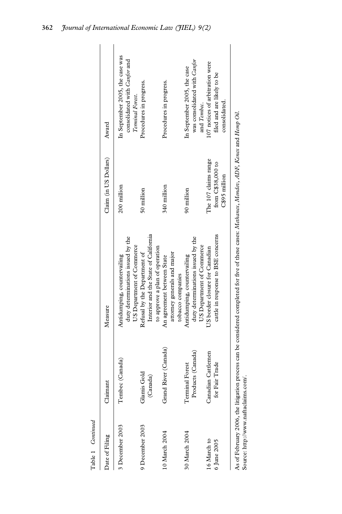| Table 1 Continued          |                                             |                                                                                                        |                                                            |                                                                                            |
|----------------------------|---------------------------------------------|--------------------------------------------------------------------------------------------------------|------------------------------------------------------------|--------------------------------------------------------------------------------------------|
| Date of Filing             | Claimant                                    | Measure                                                                                                | Claim (in US Dollars)                                      | Award                                                                                      |
| 3 December 2003            | Tembec (Canada)                             | duty determinations issued by the<br>US Department of Commerce<br>Antidumping, countervailing          | 200 million                                                | In September 2005, the case was<br>consolidated with <i>Canfor</i> and<br>Terminal Forest. |
| 9 December 2003            | Glamis Gold<br>(Canada)                     | Interior and the State of California<br>to approve a plan of operation<br>Refusal by the Department of | 50 million                                                 | Procedures in progress.                                                                    |
| 10 March 2004              | Grand River (Canada)                        | attorney generals and major<br>An agreement between State<br>tobacco companies                         | 340 million                                                | Procedures in progress.                                                                    |
| 30 March 2004              | Products (Canada)<br><b>Terminal Forest</b> | duty determinations issued by the<br>US Department of Commerce<br>Antidumping, countervailing          | 90 million                                                 | was consolidated with Canfor<br>In September 2005, the case<br>and Tembec.                 |
| 16 March to<br>6 June 2005 | Canadian Cattlemen<br>for Fair Trade        | cattle in response to BSE concerns<br>US border closure for Canadian                                   | The 107 claims range<br>from C\$38,000 to<br>C\$95 million | 107 notices of arbitration were<br>filed and are likely to be<br>consolidated.             |
|                            |                                             |                                                                                                        |                                                            |                                                                                            |

As of February 2006, the litigation process can be considered completed for five of these cases: Methanex, Mondev, ADF, Kenex and Hemp Oil.<br>Source: http://www.naftaclaims.com/. As of February 2006, the litigation process can be considered completed for five of these cases: *Methanex*, *Mondev*, *ADF*, *Kenex* and *Hemp Oil*. Source: [http://www.naftaclaims.com/.](http://www.naftaclaims.com)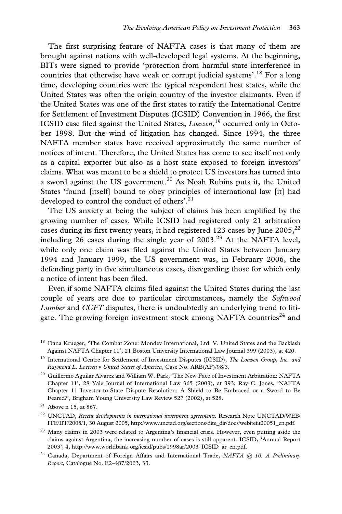The first surprising feature of NAFTA cases is that many of them are brought against nations with well-developed legal systems. At the beginning, BITs were signed to provide 'protection from harmful state interference in countries that otherwise have weak or corrupt judicial systems'.<sup>18</sup> For a long time, developing countries were the typical respondent host states, while the United States was often the origin country of the investor claimants. Even if the United States was one of the first states to ratify the International Centre for Settlement of Investment Disputes (ICSID) Convention in 1966, the first ICSID case filed against the United States, *Loewen*, 19 occurred only in October 1998. But the wind of litigation has changed. Since 1994, the three NAFTA member states have received approximately the same number of notices of intent. Therefore, the United States has come to see itself not only as a capital exporter but also as a host state exposed to foreign investors' claims. What was meant to be a shield to protect US investors has turned into a sword against the US government.<sup>20</sup> As Noah Rubins puts it, the United States 'found [itself] bound to obey principles of international law [it] had developed to control the conduct of others'.<sup>21</sup>

The US anxiety at being the subject of claims has been amplified by the growing number of cases. While ICSID had registered only 21 arbitration cases during its first twenty years, it had registered 123 cases by June  $2005$ ,  $22$ including 26 cases during the single year of  $2003<sup>23</sup>$  At the NAFTA level, while only one claim was filed against the United States between January 1994 and January 1999, the US government was, in February 2006, the defending party in five simultaneous cases, disregarding those for which only a notice of intent has been filed.

Even if some NAFTA claims filed against the United States during the last couple of years are due to particular circumstances, namely the *Softwood Lumber* and *CCFT* disputes, there is undoubtedly an underlying trend to litigate. The growing foreign investment stock among NAFTA countries<sup>24</sup> and

<sup>&</sup>lt;sup>18</sup> Dana Krueger, 'The Combat Zone: Mondev International, Ltd. V. United States and the Backlash Against NAFTA Chapter 11', 21 Boston University International Law Journal 399 (2003), at 420.

<sup>19</sup> International Centre for Settlement of Investment Disputes (ICSID), *The Loewen Group, Inc. and Raymond L. Loewen* v *United States of America*, Case No. ARB(AF)/98/3.

<sup>&</sup>lt;sup>20</sup> Guillermo Aguilar Alvarez and William W. Park, 'The New Face of Investment Arbitration: NAFTA Chapter 11', 28 Yale Journal of International Law 365 (2003), at 393; Ray C. Jones, 'NAFTA Chapter 11 Investor-to-State Dispute Resolution: A Shield to Be Embraced or a Sword to Be Feared?', Brigham Young University Law Review 527 (2002), at 528.

 $21$  Above n 15, at 867.

<sup>22</sup> UNCTAD, *Recent developments in international investment agreements*. Research Note UNCTAD/WEB/ ITE/IIT/2005/1, 30 August 2005, [http://www.unctad.org/sections/dite\\_dir/docs/webiteiit20051\\_en.pdf.](http://www.unctad.org/sections/dite_dir/docs/webiteiit20051_en.pdf)

<sup>&</sup>lt;sup>23</sup> Many claims in 2003 were related to Argentina's financial crisis. However, even putting aside the claims against Argentina, the increasing number of cases is still apparent. ICSID, 'Annual Report 2003', 4, [http://www.worldbank.org/icsid/pubs/1998ar/2003\\_ICSID\\_ar\\_en.pdf.](http://www.worldbank.org/icsid/pubs/1998ar/2003_ICSID_ar_en.pdf)

<sup>24</sup> Canada, Department of Foreign Affairs and International Trade, *NAFTA @ 10: A Preliminary Report*, Catalogue No. E2–487/2003, 33.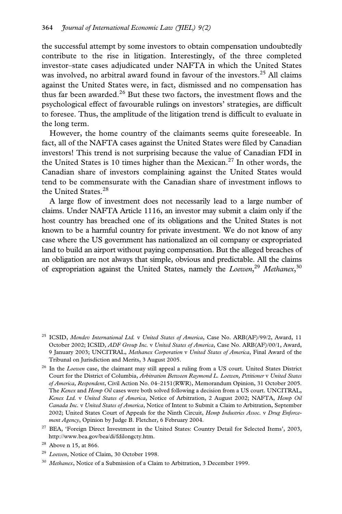the successful attempt by some investors to obtain compensation undoubtedly contribute to the rise in litigation. Interestingly, of the three completed investor–state cases adjudicated under NAFTA in which the United States was involved, no arbitral award found in favour of the investors.<sup>25</sup> All claims against the United States were, in fact, dismissed and no compensation has thus far been awarded.<sup>26</sup> But these two factors, the investment flows and the psychological effect of favourable rulings on investors' strategies, are difficult to foresee. Thus, the amplitude of the litigation trend is difficult to evaluate in the long term.

However, the home country of the claimants seems quite foreseeable. In fact, all of the NAFTA cases against the United States were filed by Canadian investors! This trend is not surprising because the value of Canadian FDI in the United States is 10 times higher than the Mexican.<sup>27</sup> In other words, the Canadian share of investors complaining against the United States would tend to be commensurate with the Canadian share of investment inflows to the United States.<sup>28</sup>

A large flow of investment does not necessarily lead to a large number of claims. Under NAFTA Article 1116, an investor may submit a claim only if the host country has breached one of its obligations and the United States is not known to be a harmful country for private investment. We do not know of any case where the US government has nationalized an oil company or expropriated land to build an airport without paying compensation. But the alleged breaches of an obligation are not always that simple, obvious and predictable. All the claims of expropriation against the United States, namely the *Loewen*, <sup>29</sup> *Methanex*, 30

<sup>29</sup> *Loewen*, Notice of Claim, 30 October 1998.

<sup>25</sup> ICSID, *Mondev International Ltd.* v *United States of America*, Case No. ARB(AF)/99/2, Award, 11 October 2002; ICSID, *ADF Group Inc.* v *United States of America*, Case No. ARB(AF)/00/1, Award, 9 January 2003; UNCITRAL, *Methanex Corporation* v *United States of America*, Final Award of the Tribunal on Jurisdiction and Merits, 3 August 2005.

<sup>26</sup> In the *Loewen* case, the claimant may still appeal a ruling from a US court. United States District Court for the District of Columbia, *Arbitration Between Raymond L. Loewen, Petitioner* v *United States of America, Respondent*, Civil Action No. 04–2151(RWR), Memorandum Opinion, 31 October 2005. The *Kenex* and *Hemp Oil* cases were both solved following a decision from a US court. UNCITRAL, *Kenex Ltd.* v *United States of America*, Notice of Arbitration, 2 August 2002; NAFTA, *Hemp Oil Canada Inc.* v *United States of America*, Notice of Intent to Submit a Claim to Arbitration, September 2002; United States Court of Appeals for the Ninth Circuit, *Hemp Industries Assoc.* v *Drug Enforcement Agency*, Opinion by Judge B. Fletcher, 6 February 2004.

<sup>&</sup>lt;sup>27</sup> BEA, 'Foreign Direct Investment in the United States: Country Detail for Selected Items', 2003, [http://www.bea.gov/bea/di/fdilongcty.htm.](http://www.bea.gov/bea/di/fdilongcty.htm)

<sup>28</sup> Above n 15, at 866.

<sup>&</sup>lt;sup>30</sup> *Methanex*, Notice of a Submission of a Claim to Arbitration, 3 December 1999.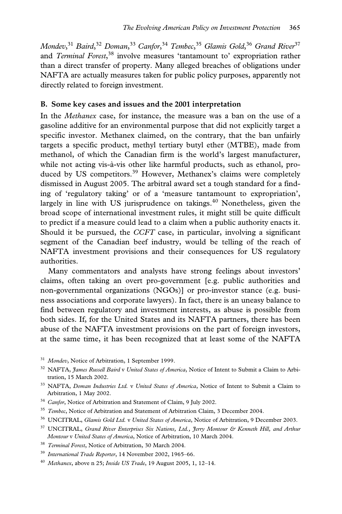*Mondev*, <sup>31</sup> *Baird*, <sup>32</sup> *Doman*, <sup>33</sup> *Canfor*, <sup>34</sup> *Tembec*, <sup>35</sup> *Glamis Gold*, <sup>36</sup> *Grand River*<sup>37</sup> and *Terminal Forest*, 38 involve measures 'tantamount to' expropriation rather than a direct transfer of property. Many alleged breaches of obligations under NAFTA are actually measures taken for public policy purposes, apparently not directly related to foreign investment.

#### **B. Some key cases and issues and the 2001 interpretation**

In the *Methanex* case, for instance, the measure was a ban on the use of a gasoline additive for an environmental purpose that did not explicitly target a specific investor. Methanex claimed, on the contrary, that the ban unfairly targets a specific product, methyl tertiary butyl ether (MTBE), made from methanol, of which the Canadian firm is the world's largest manufacturer, while not acting vis-à-vis other like harmful products, such as ethanol, produced by US competitors.<sup>39</sup> However, Methanex's claims were completely dismissed in August 2005. The arbitral award set a tough standard for a finding of 'regulatory taking' or of a 'measure tantamount to expropriation', largely in line with US jurisprudence on takings. $40$  Nonetheless, given the broad scope of international investment rules, it might still be quite difficult to predict if a measure could lead to a claim when a public authority enacts it. Should it be pursued, the *CCFT* case, in particular, involving a significant segment of the Canadian beef industry, would be telling of the reach of NAFTA investment provisions and their consequences for US regulatory authorities.

Many commentators and analysts have strong feelings about investors' claims, often taking an overt pro-government [e.g. public authorities and non-governmental organizations (NGOs)] or pro-investor stance (e.g. business associations and corporate lawyers). In fact, there is an uneasy balance to find between regulatory and investment interests, as abuse is possible from both sides. If, for the United States and its NAFTA partners, there has been abuse of the NAFTA investment provisions on the part of foreign investors, at the same time, it has been recognized that at least some of the NAFTA

- <sup>31</sup> *Mondev*, Notice of Arbitration, 1 September 1999.
- <sup>32</sup> NAFTA, *James Russell Baird* v *United States of America*, Notice of Intent to Submit a Claim to Arbitration, 15 March 2002.
- <sup>33</sup> NAFTA, *Doman Industries Ltd.* v *United States of America*, Notice of Intent to Submit a Claim to Arbitration, 1 May 2002.
- <sup>34</sup> *Canfor*, Notice of Arbitration and Statement of Claim, 9 July 2002.
- <sup>35</sup> *Tembec*, Notice of Arbitration and Statement of Arbitration Claim, 3 December 2004.
- <sup>36</sup> UNCITRAL, *Glamis Gold Ltd.* v *United States of America*, Notice of Arbitration, 9 December 2003.
- <sup>37</sup> UNCITRAL, *Grand River Enterprises Six Nations, Ltd., Jerry Montour & Kenneth Hill, and Arthur Montour* v *United States of America*, Notice of Arbitration, 10 March 2004.
- <sup>38</sup> *Terminal Forest*, Notice of Arbitration, 30 March 2004.
- <sup>39</sup> *International Trade Reporter*, 14 November 2002, 1965–66.
- <sup>40</sup> *Methanex*, above n 25; *Inside US Trade*, 19 August 2005, 1, 12–14.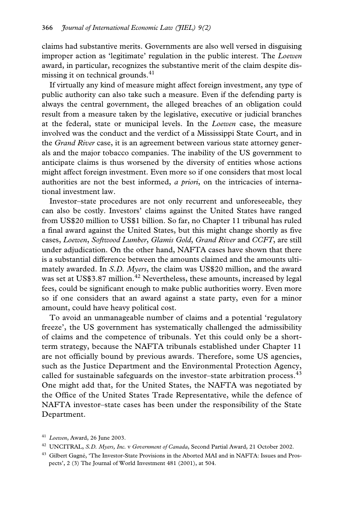claims had substantive merits. Governments are also well versed in disguising improper action as 'legitimate' regulation in the public interest. The *Loewen* award, in particular, recognizes the substantive merit of the claim despite dismissing it on technical grounds.<sup>41</sup>

If virtually any kind of measure might affect foreign investment, any type of public authority can also take such a measure. Even if the defending party is always the central government, the alleged breaches of an obligation could result from a measure taken by the legislative, executive or judicial branches at the federal, state or municipal levels. In the *Loewen* case, the measure involved was the conduct and the verdict of a Mississippi State Court, and in the *Grand River* case, it is an agreement between various state attorney generals and the major tobacco companies. The inability of the US government to anticipate claims is thus worsened by the diversity of entities whose actions might affect foreign investment. Even more so if one considers that most local authorities are not the best informed, *a priori*, on the intricacies of international investment law.

Investor–state procedures are not only recurrent and unforeseeable, they can also be costly. Investors' claims against the United States have ranged from US\$20 million to US\$1 billion. So far, no Chapter 11 tribunal has ruled a final award against the United States, but this might change shortly as five cases, *Loewen*, *Softwood Lumber*, *Glamis Gold*, *Grand River* and *CCFT*, are still under adjudication. On the other hand, NAFTA cases have shown that there is a substantial difference between the amounts claimed and the amounts ultimately awarded. In *S.D. Myers*, the claim was US\$20 million, and the award was set at US\$3.87 million.<sup>42</sup> Nevertheless, these amounts, increased by legal fees, could be significant enough to make public authorities worry. Even more so if one considers that an award against a state party, even for a minor amount, could have heavy political cost.

To avoid an unmanageable number of claims and a potential 'regulatory freeze', the US government has systematically challenged the admissibility of claims and the competence of tribunals. Yet this could only be a shortterm strategy, because the NAFTA tribunals established under Chapter 11 are not officially bound by previous awards. Therefore, some US agencies, such as the Justice Department and the Environmental Protection Agency, called for sustainable safeguards on the investor-state arbitration process.<sup>43</sup> One might add that, for the United States, the NAFTA was negotiated by the Office of the United States Trade Representative, while the defence of NAFTA investor–state cases has been under the responsibility of the State Department.

<sup>41</sup> *Loewen*, Award, 26 June 2003.

<sup>42</sup> UNCITRAL, *S.D. Myers, Inc.* v *Government of Canada*, Second Partial Award, 21 October 2002.

<sup>&</sup>lt;sup>43</sup> Gilbert Gagné, 'The Investor-State Provisions in the Aborted MAI and in NAFTA: Issues and Prospects', 2 (3) The Journal of World Investment 481 (2001), at 504.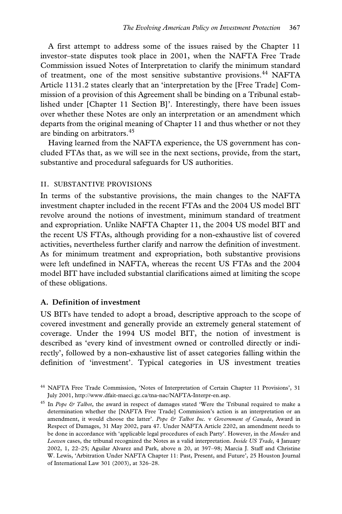A first attempt to address some of the issues raised by the Chapter 11 investor–state disputes took place in 2001, when the NAFTA Free Trade Commission issued Notes of Interpretation to clarify the minimum standard of treatment, one of the most sensitive substantive provisions.<sup>44</sup> NAFTA Article 1131.2 states clearly that an 'interpretation by the [Free Trade] Commission of a provision of this Agreement shall be binding on a Tribunal established under [Chapter 11 Section B]'. Interestingly, there have been issues over whether these Notes are only an interpretation or an amendment which departs from the original meaning of Chapter 11 and thus whether or not they are binding on arbitrators.<sup>45</sup>

Having learned from the NAFTA experience, the US government has concluded FTAs that, as we will see in the next sections, provide, from the start, substantive and procedural safeguards for US authorities.

### ii. substantive provisions

In terms of the substantive provisions, the main changes to the NAFTA investment chapter included in the recent FTAs and the 2004 US model BIT revolve around the notions of investment, minimum standard of treatment and expropriation. Unlike NAFTA Chapter 11, the 2004 US model BIT and the recent US FTAs, although providing for a non-exhaustive list of covered activities, nevertheless further clarify and narrow the definition of investment. As for minimum treatment and expropriation, both substantive provisions were left undefined in NAFTA, whereas the recent US FTAs and the 2004 model BIT have included substantial clarifications aimed at limiting the scope of these obligations.

### **A. Definition of investment**

US BITs have tended to adopt a broad, descriptive approach to the scope of covered investment and generally provide an extremely general statement of coverage. Under the 1994 US model BIT, the notion of investment is described as 'every kind of investment owned or controlled directly or indirectly', followed by a non-exhaustive list of asset categories falling within the definition of 'investment'. Typical categories in US investment treaties

<sup>44</sup> NAFTA Free Trade Commission, 'Notes of Interpretation of Certain Chapter 11 Provisions', 31 July 2001, [http://www.dfait-maeci.gc.ca/tna-nac/NAFTA-Interpr-en.asp.](http://www.dfait-maeci.gc.ca/tna-nac/NAFTA-Interpr-en.asp)

<sup>45</sup> In *Pope & Talbot*, the award in respect of damages stated 'Were the Tribunal required to make a determination whether the [NAFTA Free Trade] Commission's action is an interpretation or an amendment, it would choose the latter'. *Pope & Talbot Inc.* v *Government of Canada*, Award in Respect of Damages, 31 May 2002, para 47. Under NAFTA Article 2202, an amendment needs to be done in accordance with 'applicable legal procedures of each Party'. However, in the *Mondev* and *Loewen* cases, the tribunal recognized the Notes as a valid interpretation. *Inside US Trade,* 4 January 2002, 1, 22–25; Aguilar Alvarez and Park, above n 20, at 397–98; Marcia J. Staff and Christine W. Lewis, 'Arbitration Under NAFTA Chapter 11: Past, Present, and Future', 25 Houston Journal of International Law 301 (2003), at 326–28.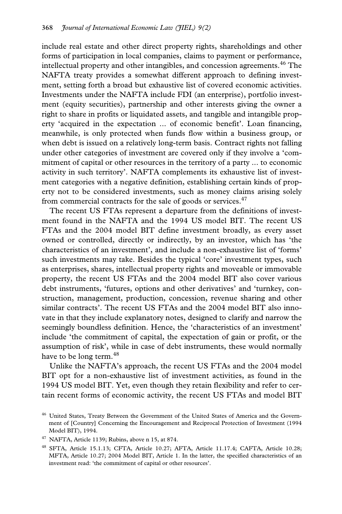include real estate and other direct property rights, shareholdings and other forms of participation in local companies, claims to payment or performance, intellectual property and other intangibles, and concession agreements.46 The NAFTA treaty provides a somewhat different approach to defining investment, setting forth a broad but exhaustive list of covered economic activities. Investments under the NAFTA include FDI (an enterprise), portfolio investment (equity securities), partnership and other interests giving the owner a right to share in profits or liquidated assets, and tangible and intangible property 'acquired in the expectation ... of economic benefit'. Loan financing, meanwhile, is only protected when funds flow within a business group, or when debt is issued on a relatively long-term basis. Contract rights not falling under other categories of investment are covered only if they involve a 'commitment of capital or other resources in the territory of a party ... to economic activity in such territory'. NAFTA complements its exhaustive list of investment categories with a negative definition, establishing certain kinds of property not to be considered investments, such as money claims arising solely from commercial contracts for the sale of goods or services.<sup>47</sup>

The recent US FTAs represent a departure from the definitions of investment found in the NAFTA and the 1994 US model BIT. The recent US FTAs and the 2004 model BIT define investment broadly, as every asset owned or controlled, directly or indirectly, by an investor, which has 'the characteristics of an investment', and include a non-exhaustive list of 'forms' such investments may take. Besides the typical 'core' investment types, such as enterprises, shares, intellectual property rights and moveable or immovable property, the recent US FTAs and the 2004 model BIT also cover various debt instruments, 'futures, options and other derivatives' and 'turnkey, construction, management, production, concession, revenue sharing and other similar contracts'. The recent US FTAs and the 2004 model BIT also innovate in that they include explanatory notes, designed to clarify and narrow the seemingly boundless definition. Hence, the 'characteristics of an investment' include 'the commitment of capital, the expectation of gain or profit, or the assumption of risk', while in case of debt instruments, these would normally have to be long term.<sup>48</sup>

Unlike the NAFTA's approach, the recent US FTAs and the 2004 model BIT opt for a non-exhaustive list of investment activities, as found in the 1994 US model BIT. Yet, even though they retain flexibility and refer to certain recent forms of economic activity, the recent US FTAs and model BIT

<sup>46</sup> United States, Treaty Between the Government of the United States of America and the Government of [Country] Concerning the Encouragement and Reciprocal Protection of Investment (1994 Model BIT), 1994.

<sup>47</sup> NAFTA, Article 1139; Rubins, above n 15, at 874.

<sup>48</sup> SFTA, Article 15.1.13; CFTA, Article 10.27; AFTA, Article 11.17.4; CAFTA, Article 10.28; MFTA, Article 10.27; 2004 Model BIT, Article 1. In the latter, the specified characteristics of an investment read: 'the commitment of capital or other resources'.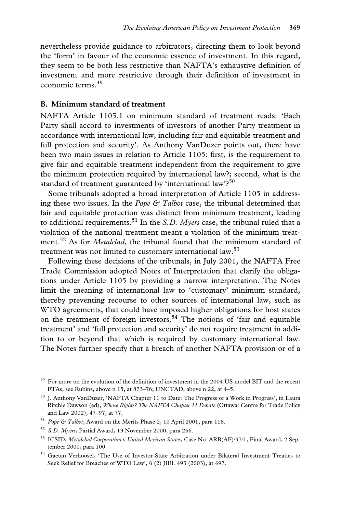nevertheless provide guidance to arbitrators, directing them to look beyond the 'form' in favour of the economic essence of investment. In this regard, they seem to be both less restrictive than NAFTA's exhaustive definition of investment and more restrictive through their definition of investment in economic terms<sup>49</sup>

## **B. Minimum standard of treatment**

NAFTA Article 1105.1 on minimum standard of treatment reads: 'Each Party shall accord to investments of investors of another Party treatment in accordance with international law, including fair and equitable treatment and full protection and security'. As Anthony VanDuzer points out, there have been two main issues in relation to Article 1105: first, is the requirement to give fair and equitable treatment independent from the requirement to give the minimum protection required by international law?; second, what is the standard of treatment guaranteed by 'international law'?<sup>50</sup>

Some tribunals adopted a broad interpretation of Article 1105 in addressing these two issues. In the *Pope & Talbot* case, the tribunal determined that fair and equitable protection was distinct from minimum treatment, leading to additional requirements.51 In the *S.D. Myers* case, the tribunal ruled that a violation of the national treatment meant a violation of the minimum treatment.52 As for *Metalclad*, the tribunal found that the minimum standard of treatment was not limited to customary international law.<sup>53</sup>

Following these decisions of the tribunals, in July 2001, the NAFTA Free Trade Commission adopted Notes of Interpretation that clarify the obligations under Article 1105 by providing a narrow interpretation. The Notes limit the meaning of international law to 'customary' minimum standard, thereby preventing recourse to other sources of international law, such as WTO agreements, that could have imposed higher obligations for host states on the treatment of foreign investors.<sup>54</sup> The notions of 'fair and equitable treatment' and 'full protection and security' do not require treatment in addition to or beyond that which is required by customary international law. The Notes further specify that a breach of another NAFTA provision or of a

<sup>&</sup>lt;sup>49</sup> For more on the evolution of the definition of investment in the 2004 US model BIT and the recent FTAs, see Rubins, above n 15, at 873–76; UNCTAD, above n 22, at 4–5.

<sup>&</sup>lt;sup>50</sup> J. Anthony VanDuzer, 'NAFTA Chapter 11 to Date: The Progress of a Work in Progress', in Laura Ritchie Dawson (ed), *Whose Rights? The NAFTA Chapter 11 Debate* (Ottawa: Centre for Trade Policy and Law 2002), 47–97, at 77.

<sup>51</sup> *Pope & Talbot*, Award on the Merits Phase 2, 10 April 2001, para 118.

<sup>52</sup> *S.D. Myers*, Partial Award, 13 November 2000, para 266.

<sup>53</sup> ICSID, *Metalclad Corporation* v *United Mexican States*, Case No. ARB(AF)/97/1, Final Award, 2 September 2000, para 100.

<sup>54</sup> Gaetan Verhoosel, 'The Use of Investor-State Arbitration under Bilateral Investment Treaties to Seek Relief for Breaches of WTO Law', 6 (2) JIEL 493 (2003), at 497.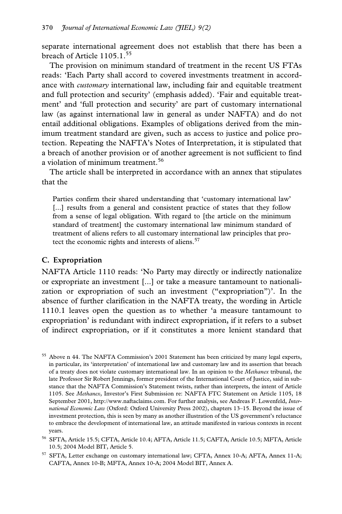separate international agreement does not establish that there has been a breach of Article 1105.1.<sup>55</sup>

The provision on minimum standard of treatment in the recent US FTAs reads: 'Each Party shall accord to covered investments treatment in accordance with *customary* international law, including fair and equitable treatment and full protection and security' (emphasis added). 'Fair and equitable treatment' and 'full protection and security' are part of customary international law (as against international law in general as under NAFTA) and do not entail additional obligations. Examples of obligations derived from the minimum treatment standard are given, such as access to justice and police protection. Repeating the NAFTA's Notes of Interpretation, it is stipulated that a breach of another provision or of another agreement is not sufficient to find a violation of minimum treatment.<sup>56</sup>

The article shall be interpreted in accordance with an annex that stipulates that the

Parties confirm their shared understanding that 'customary international law' [...] results from a general and consistent practice of states that they follow from a sense of legal obligation. With regard to [the article on the minimum standard of treatment] the customary international law minimum standard of treatment of aliens refers to all customary international law principles that protect the economic rights and interests of aliens.<sup>57</sup>

## **C. Expropriation**

NAFTA Article 1110 reads: 'No Party may directly or indirectly nationalize or expropriate an investment [...] or take a measure tantamount to nationalization or expropriation of such an investment ("expropriation")'. In the absence of further clarification in the NAFTA treaty, the wording in Article 1110.1 leaves open the question as to whether 'a measure tantamount to expropriation' is redundant with indirect expropriation, if it refers to a subset of indirect expropriation, or if it constitutes a more lenient standard that

<sup>55</sup> Above n 44. The NAFTA Commission's 2001 Statement has been criticized by many legal experts, in particular, its 'interpretation' of international law and customary law and its assertion that breach of a treaty does not violate customary international law. In an opinion to the *Methanex* tribunal, the late Professor Sir Robert Jennings, former president of the International Court of Justice, said in substance that the NAFTA Commission's Statement twists, rather than interprets, the intent of Article 1105. See *Methanex*, Investor's First Submission re: NAFTA FTC Statement on Article 1105, 18 September 2001, [http://www.naftaclaims.com.](http://www.naftaclaims.com) For further analysis, see Andreas F. Lowenfeld, *International Economic Law* (Oxford: Oxford University Press 2002), chapters 13–15. Beyond the issue of investment protection, this is seen by many as another illustration of the US government's reluctance to embrace the development of international law, an attitude manifested in various contexts in recent years.

<sup>56</sup> SFTA, Article 15.5; CFTA, Article 10.4; AFTA, Article 11.5; CAFTA, Article 10.5; MFTA, Article 10.5; 2004 Model BIT, Article 5.

<sup>57</sup> SFTA, Letter exchange on customary international law; CFTA, Annex 10-A; AFTA, Annex 11-A; CAFTA, Annex 10-B; MFTA, Annex 10-A; 2004 Model BIT, Annex A.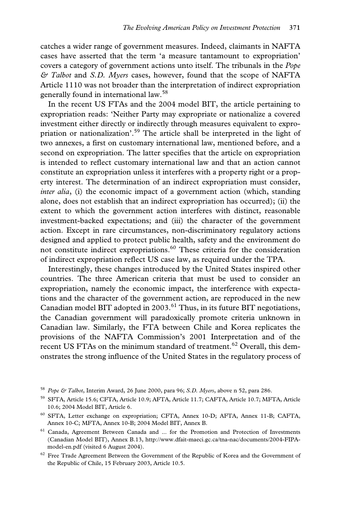catches a wider range of government measures. Indeed, claimants in NAFTA cases have asserted that the term 'a measure tantamount to expropriation' covers a category of government actions unto itself. The tribunals in the *Pope & Talbot* and *S.D. Myers* cases, however, found that the scope of NAFTA Article 1110 was not broader than the interpretation of indirect expropriation generally found in international law.<sup>58</sup>

In the recent US FTAs and the 2004 model BIT, the article pertaining to expropriation reads: 'Neither Party may expropriate or nationalize a covered investment either directly or indirectly through measures equivalent to expropriation or nationalization'.59 The article shall be interpreted in the light of two annexes, a first on customary international law, mentioned before, and a second on expropriation. The latter specifies that the article on expropriation is intended to reflect customary international law and that an action cannot constitute an expropriation unless it interferes with a property right or a property interest. The determination of an indirect expropriation must consider, *inter alia*, (i) the economic impact of a government action (which, standing alone, does not establish that an indirect expropriation has occurred); (ii) the extent to which the government action interferes with distinct, reasonable investment-backed expectations; and (iii) the character of the government action. Except in rare circumstances, non-discriminatory regulatory actions designed and applied to protect public health, safety and the environment do not constitute indirect expropriations.60 These criteria for the consideration of indirect expropriation reflect US case law, as required under the TPA.

Interestingly, these changes introduced by the United States inspired other countries. The three American criteria that must be used to consider an expropriation, namely the economic impact, the interference with expectations and the character of the government action, are reproduced in the new Canadian model BIT adopted in 2003.<sup>61</sup> Thus, in its future BIT negotiations, the Canadian government will paradoxically promote criteria unknown in Canadian law. Similarly, the FTA between Chile and Korea replicates the provisions of the NAFTA Commission's 2001 Interpretation and of the recent US FTAs on the minimum standard of treatment.<sup>62</sup> Overall, this demonstrates the strong influence of the United States in the regulatory process of

<sup>58</sup> *Pope & Talbot*, Interim Award, 26 June 2000, para 96; *S.D. Myers*, above n 52, para 286.

<sup>59</sup> SFTA, Article 15.6; CFTA, Article 10.9; AFTA, Article 11.7; CAFTA, Article 10.7; MFTA, Article 10.6; 2004 Model BIT, Article 6.

<sup>60</sup> SFTA, Letter exchange on expropriation; CFTA, Annex 10-D; AFTA, Annex 11-B; CAFTA, Annex 10-C; MFTA, Annex 10-B; 2004 Model BIT, Annex B.

<sup>61</sup> Canada, Agreement Between Canada and ... for the Promotion and Protection of Investments [\(Canadian Model BIT\), Annex B.13, http://www.dfait-maeci.gc.ca/tna-nac/documents/2004-FIPA](http://www.dfait-maeci.gc.ca/tna-nac/documents/2004-FIPA-model-en.pdf)model[-en.pdf \(v](http://www.dfait-maeci.gc.ca/tna-nac/documents/2004-FIPA-model-en.pdf)isited 6 August 2004).

<sup>&</sup>lt;sup>62</sup> Free Trade Agreement Between the Government of the Republic of Korea and the Government of the Republic of Chile, 15 February 2003, Article 10.5.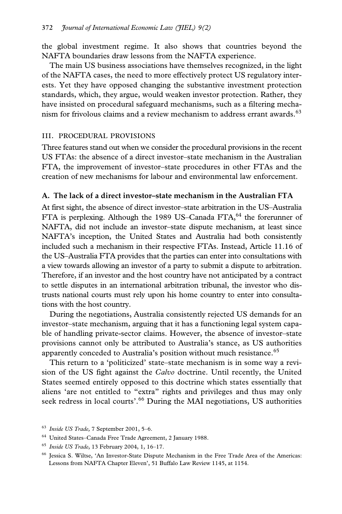the global investment regime. It also shows that countries beyond the NAFTA boundaries draw lessons from the NAFTA experience.

The main US business associations have themselves recognized, in the light of the NAFTA cases, the need to more effectively protect US regulatory interests. Yet they have opposed changing the substantive investment protection standards, which, they argue, would weaken investor protection. Rather, they have insisted on procedural safeguard mechanisms, such as a filtering mechanism for frivolous claims and a review mechanism to address errant awards.<sup>63</sup>

### iii. procedural provisions

Three features stand out when we consider the procedural provisions in the recent US FTAs: the absence of a direct investor–state mechanism in the Australian FTA, the improvement of investor–state procedures in other FTAs and the creation of new mechanisms for labour and environmental law enforcement.

### **A. The lack of a direct investor–state mechanism in the Australian FTA**

At first sight, the absence of direct investor–state arbitration in the US–Australia FTA is perplexing. Although the 1989 US–Canada FTA, $^{64}$  the forerunner of NAFTA, did not include an investor–state dispute mechanism, at least since NAFTA's inception, the United States and Australia had both consistently included such a mechanism in their respective FTAs. Instead, Article 11.16 of the US–Australia FTA provides that the parties can enter into consultations with a view towards allowing an investor of a party to submit a dispute to arbitration. Therefore, if an investor and the host country have not anticipated by a contract to settle disputes in an international arbitration tribunal, the investor who distrusts national courts must rely upon his home country to enter into consultations with the host country.

During the negotiations, Australia consistently rejected US demands for an investor–state mechanism, arguing that it has a functioning legal system capable of handling private-sector claims. However, the absence of investor–state provisions cannot only be attributed to Australia's stance, as US authorities apparently conceded to Australia's position without much resistance.<sup>65</sup>

This return to a 'politicized' state–state mechanism is in some way a revision of the US fight against the *Calvo* doctrine. Until recently, the United States seemed entirely opposed to this doctrine which states essentially that aliens 'are not entitled to "extra" rights and privileges and thus may only seek redress in local courts'.<sup>66</sup> During the MAI negotiations, US authorities

<sup>63</sup> *Inside US Trade,* 7 September 2001, 5–6.

<sup>64</sup> United States–Canada Free Trade Agreement, 2 January 1988.

<sup>65</sup> *Inside US Trade*, 13 February 2004, 1, 16–17.

<sup>66</sup> Jessica S. Wiltse, 'An Investor-State Dispute Mechanism in the Free Trade Area of the Americas: Lessons from NAFTA Chapter Eleven', 51 Buffalo Law Review 1145, at 1154.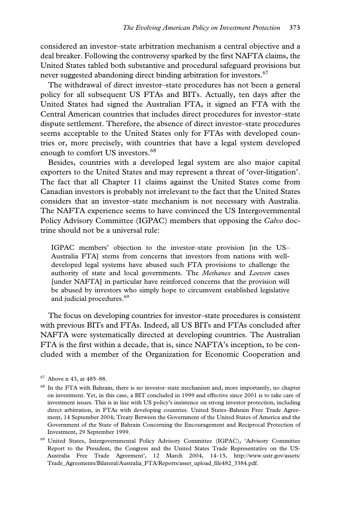considered an investor–state arbitration mechanism a central objective and a deal breaker. Following the controversy sparked by the first NAFTA claims, the United States tabled both substantive and procedural safeguard provisions but never suggested abandoning direct binding arbitration for investors.<sup>67</sup>

The withdrawal of direct investor–state procedures has not been a general policy for all subsequent US FTAs and BITs. Actually, ten days after the United States had signed the Australian FTA, it signed an FTA with the Central American countries that includes direct procedures for investor–state dispute settlement. Therefore, the absence of direct investor–state procedures seems acceptable to the United States only for FTAs with developed countries or, more precisely, with countries that have a legal system developed enough to comfort US investors.<sup>68</sup>

Besides, countries with a developed legal system are also major capital exporters to the United States and may represent a threat of 'over-litigation'. The fact that all Chapter 11 claims against the United States come from Canadian investors is probably not irrelevant to the fact that the United States considers that an investor–state mechanism is not necessary with Australia. The NAFTA experience seems to have convinced the US Intergovernmental Policy Advisory Committee (IGPAC) members that opposing the *Calvo* doctrine should not be a universal rule:

IGPAC members' objection to the investor–state provision [in the US– Australia FTA] stems from concerns that investors from nations with welldeveloped legal systems have abused such FTA provisions to challenge the authority of state and local governments. The *Methanex* and *Loewen* cases [under NAFTA] in particular have reinforced concerns that the provision will be abused by investors who simply hope to circumvent established legislative and judicial procedures.<sup>69</sup>

The focus on developing countries for investor–state procedures is consistent with previous BITs and FTAs. Indeed, all US BITs and FTAs concluded after NAFTA were systematically directed at developing countries. The Australian FTA is the first within a decade, that is, since NAFTA's inception, to be concluded with a member of the Organization for Economic Cooperation and

<sup>67</sup> Above n 43, at 485–88.

<sup>&</sup>lt;sup>68</sup> In the FTA with Bahrain, there is no investor–state mechanism and, more importantly, no chapter on investment. Yet, in this case, a BIT concluded in 1999 and effective since 2001 is to take care of investment issues. This is in line with US policy's insistence on strong investor protection, including direct arbitration, in FTAs with developing countries. United States–Bahrain Free Trade Agreement, 14 September 2004; Treaty Between the Government of the United States of America and the Government of the State of Bahrain Concerning the Encouragement and Reciprocal Protection of Investment, 29 September 1999.

<sup>69</sup> United States, Intergovernmental Policy Advisory Committee (IGPAC), 'Advisory Committee Report to the President, the Congress and the United States Trade Representative on the US-Australia Free Trade Agreement', 12 March 2004, 14–15, [http://www.ustr.gov/assets/](http://www.ustr.gov/assets/Trade_Agreements/Bilateral/Australia_FTA/Reports/asset_upload_file482_3384.pdf) [Trade\\_Agreements/Bilateral/Australia\\_FTA/Reports/asset\\_upload\\_file482\\_3384.pdf.](http://www.ustr.gov/assets/Trade_Agreements/Bilateral/Australia_FTA/Reports/asset_upload_file482_3384.pdf)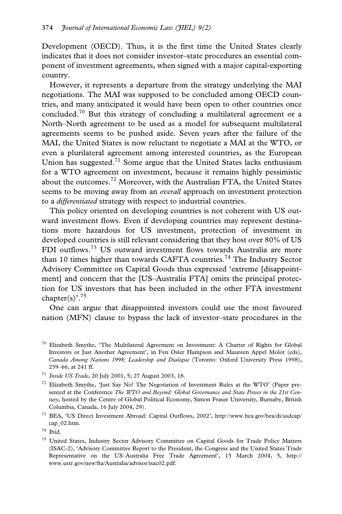Development (OECD). Thus, it is the first time the United States clearly indicates that it does not consider investor–state procedures an essential component of investment agreements, when signed with a major capital-exporting country.

However, it represents a departure from the strategy underlying the MAI negotiations. The MAI was supposed to be concluded among OECD countries, and many anticipated it would have been open to other countries once concluded.<sup>70</sup> But this strategy of concluding a multilateral agreement or a North–North agreement to be used as a model for subsequent multilateral agreements seems to be pushed aside. Seven years after the failure of the MAI, the United States is now reluctant to negotiate a MAI at the WTO, or even a plurilateral agreement among interested countries, as the European Union has suggested.<sup>71</sup> Some argue that the United States lacks enthusiasm for a WTO agreement on investment, because it remains highly pessimistic about the outcomes.72 Moreover, with the Australian FTA, the United States seems to be moving away from an *overall* approach on investment protection to a *differentiated* strategy with respect to industrial countries.

This policy oriented on developing countries is not coherent with US outward investment flows. Even if developing countries may represent destinations more hazardous for US investment, protection of investment in developed countries is still relevant considering that they host over 80% of US FDI outflows.73 US outward investment flows towards Australia are more than 10 times higher than towards CAFTA countries.<sup>74</sup> The Industry Sector Advisory Committee on Capital Goods thus expressed 'extreme [disappointment] and concern that the [US–Australia FTA] omits the principal protection for US investors that has been included in the other FTA investment chapter $(s)$ '.<sup>75</sup>

One can argue that disappointed investors could use the most favoured nation (MFN) clause to bypass the lack of investor–state procedures in the

<sup>71</sup> *Inside US Trade*, 20 July 2001, 5; 27 August 2003, 18.

<sup>73</sup> BEA, 'US Direct Investment Abroad: Capital Outflows, 2002', [http://www.bea.gov/bea/di/usdcap/](http://www.bea.gov/bea/di/usdcap/cap_02.htm) [cap\\_02.htm.](http://www.bea.gov/bea/di/usdcap/cap_02.htm)

<sup>70</sup> Elizabeth Smythe, 'The Multilateral Agreement on Investment: A Charter of Rights for Global Investors or Just Another Agreement', in Fen Osler Hampson and Maureen Appel Molot (eds), *Canada Among Nations 1998: Leadership and Dialogue* (Toronto: Oxford University Press 1998), 239–66, at 241 ff.

<sup>72</sup> Elizabeth Smythe, 'Just Say No! The Negotiation of Investment Rules at the WTO' (Paper presented at the Conference *The WTO and Beyond: Global Governance and State Power in the 21st Century,* hosted by the Centre of Global Political Economy, Simon Fraser University, Burnaby, British Columbia, Canada, 16 July 2004, 29).

<sup>74</sup> Ibid.

<sup>75</sup> United States, Industry Sector Advisory Committee on Capital Goods for Trade Policy Matters (ISAC-2), 'Advisory Committee Report to the President, the Congress and the United States Trade Representative on the US–Australia Free Trade Agreement', 15 March 2004, 5, [http://](http://www.ustr.gov/new/fta/Australia/advisor/isac02.pdf) [www.ustr.gov/new/fta/Australia/advisor/isac02.pdf.](http://www.ustr.gov/new/fta/Australia/advisor/isac02.pdf)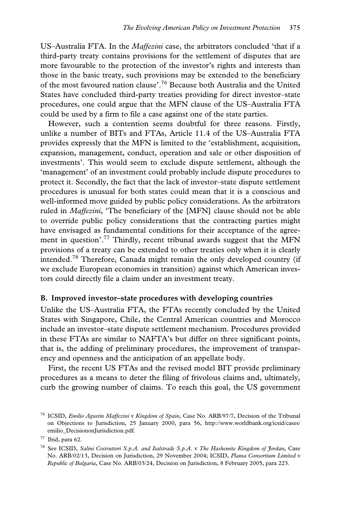US–Australia FTA. In the *Maffezini* case, the arbitrators concluded 'that if a third-party treaty contains provisions for the settlement of disputes that are more favourable to the protection of the investor's rights and interests than those in the basic treaty, such provisions may be extended to the beneficiary of the most favoured nation clause'.76 Because both Australia and the United States have concluded third-party treaties providing for direct investor–state procedures, one could argue that the MFN clause of the US–Australia FTA could be used by a firm to file a case against one of the state parties.

However, such a contention seems doubtful for three reasons. Firstly, unlike a number of BITs and FTAs, Article 11.4 of the US–Australia FTA provides expressly that the MFN is limited to the 'establishment, acquisition, expansion, management, conduct, operation and sale or other disposition of investments'. This would seem to exclude dispute settlement, although the 'management' of an investment could probably include dispute procedures to protect it. Secondly, the fact that the lack of investor–state dispute settlement procedures is unusual for both states could mean that it is a conscious and well-informed move guided by public policy considerations. As the arbitrators ruled in *Maffezini*, 'The beneficiary of the [MFN] clause should not be able to override public policy considerations that the contracting parties might have envisaged as fundamental conditions for their acceptance of the agreement in question'.77 Thirdly, recent tribunal awards suggest that the MFN provisions of a treaty can be extended to other treaties only when it is clearly intended.<sup>78</sup> Therefore, Canada might remain the only developed country (if we exclude European economies in transition) against which American investors could directly file a claim under an investment treaty.

#### **B. Improved investor–state procedures with developing countries**

Unlike the US–Australia FTA, the FTAs recently concluded by the United States with Singapore, Chile, the Central American countries and Morocco include an investor–state dispute settlement mechanism. Procedures provided in these FTAs are similar to NAFTA's but differ on three significant points, that is, the adding of preliminary procedures, the improvement of transparency and openness and the anticipation of an appellate body.

First, the recent US FTAs and the revised model BIT provide preliminary procedures as a means to deter the filing of frivolous claims and, ultimately, curb the growing number of claims. To reach this goal, the US government

<sup>76</sup> ICSID, *Emilio Agustin Maffezini* v *Kingdom of Spain*, Case No. ARB/97/7, Decision of the Tribunal on Objections to Jurisdiction, 25 January 2000, para 56, [http://www.worldbank.org/icsid/cases/](http://www.worldbank.org/icsid/cases/emilio_DecisiononJurisdiction.pdf) [emilio\\_DecisiononJurisdiction.pdf.](http://www.worldbank.org/icsid/cases/emilio_DecisiononJurisdiction.pdf)

 $77$  Ibid, para 62.

<sup>78</sup> See ICSID, *Salini Costruttori S.p.A. and Italstrade S.p.A.* v *The Hashemite Kingdom of Jordan*, Case No. ARB/02/13, Decision on Jurisdiction, 29 November 2004; ICSID, *Plama Consortium Limited* v *Republic of Bulgaria*, Case No. ARB/03/24, Decision on Jurisdiction, 8 February 2005, para 223.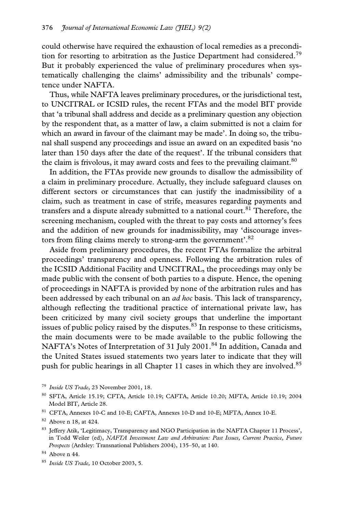could otherwise have required the exhaustion of local remedies as a precondition for resorting to arbitration as the Justice Department had considered.<sup>79</sup> But it probably experienced the value of preliminary procedures when systematically challenging the claims' admissibility and the tribunals' competence under NAFTA.

Thus, while NAFTA leaves preliminary procedures, or the jurisdictional test, to UNCITRAL or ICSID rules, the recent FTAs and the model BIT provide that 'a tribunal shall address and decide as a preliminary question any objection by the respondent that, as a matter of law, a claim submitted is not a claim for which an award in favour of the claimant may be made'. In doing so, the tribunal shall suspend any proceedings and issue an award on an expedited basis 'no later than 150 days after the date of the request'. If the tribunal considers that the claim is frivolous, it may award costs and fees to the prevailing claimant.<sup>80</sup>

In addition, the FTAs provide new grounds to disallow the admissibility of a claim in preliminary procedure. Actually, they include safeguard clauses on different sectors or circumstances that can justify the inadmissibility of a claim, such as treatment in case of strife, measures regarding payments and transfers and a dispute already submitted to a national court.<sup>81</sup> Therefore, the screening mechanism, coupled with the threat to pay costs and attorney's fees and the addition of new grounds for inadmissibility, may 'discourage investors from filing claims merely to strong-arm the government'.<sup>82</sup>

Aside from preliminary procedures, the recent FTAs formalize the arbitral proceedings' transparency and openness. Following the arbitration rules of the ICSID Additional Facility and UNCITRAL, the proceedings may only be made public with the consent of both parties to a dispute. Hence, the opening of proceedings in NAFTA is provided by none of the arbitration rules and has been addressed by each tribunal on an *ad hoc* basis. This lack of transparency, although reflecting the traditional practice of international private law, has been criticized by many civil society groups that underline the important issues of public policy raised by the disputes. $83$  In response to these criticisms, the main documents were to be made available to the public following the NAFTA's Notes of Interpretation of 31 July 2001.<sup>84</sup> In addition, Canada and the United States issued statements two years later to indicate that they will push for public hearings in all Chapter 11 cases in which they are involved.<sup>85</sup>

<sup>79</sup> *Inside US Trade*, 23 November 2001, 18.

<sup>80</sup> SFTA, Article 15.19; CFTA, Article 10.19; CAFTA, Article 10.20; MFTA, Article 10.19; 2004 Model BIT, Article 28.

<sup>81</sup> CFTA, Annexes 10-C and 10-E; CAFTA, Annexes 10-D and 10-E; MFTA, Annex 10-E.

<sup>82</sup> Above n 18, at 424.

<sup>83</sup> Jeffery Atik, 'Legitimacy, Transparency and NGO Participation in the NAFTA Chapter 11 Process', in Todd Weiler (ed), *NAFTA Investment Law and Arbitration: Past Issues, Current Practice, Future Prospects* (Ardsley: Transnational Publishers 2004), 135–50, at 140.

<sup>84</sup> Above n 44.

<sup>85</sup> *Inside US Trade,* 10 October 2003, 5.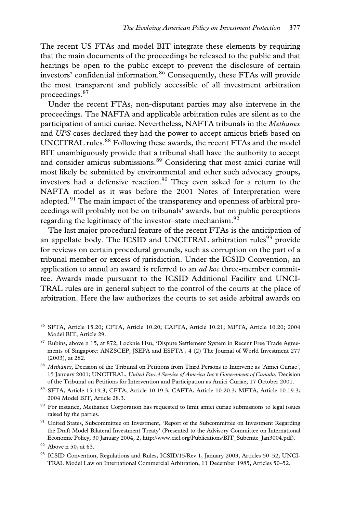The recent US FTAs and model BIT integrate these elements by requiring that the main documents of the proceedings be released to the public and that hearings be open to the public except to prevent the disclosure of certain investors' confidential information.<sup>86</sup> Consequently, these FTAs will provide the most transparent and publicly accessible of all investment arbitration proceedings.87

Under the recent FTAs, non-disputant parties may also intervene in the proceedings. The NAFTA and applicable arbitration rules are silent as to the participation of amici curiae. Nevertheless, NAFTA tribunals in the *Methanex* and *UPS* cases declared they had the power to accept amicus briefs based on UNCITRAL rules.<sup>88</sup> Following these awards, the recent FTAs and the model BIT unambiguously provide that a tribunal shall have the authority to accept and consider amicus submissions.<sup>89</sup> Considering that most amici curiae will most likely be submitted by environmental and other such advocacy groups, investors had a defensive reaction.<sup>90</sup> They even asked for a return to the NAFTA model as it was before the 2001 Notes of Interpretation were adopted.<sup>91</sup> The main impact of the transparency and openness of arbitral proceedings will probably not be on tribunals' awards, but on public perceptions regarding the legitimacy of the investor–state mechanism. $92$ 

The last major procedural feature of the recent FTAs is the anticipation of an appellate body. The ICSID and UNCITRAL arbitration rules<sup>93</sup> provide for reviews on certain procedural grounds, such as corruption on the part of a tribunal member or excess of jurisdiction. Under the ICSID Convention, an application to annul an award is referred to an *ad hoc* three-member committee. Awards made pursuant to the ICSID Additional Facility and UNCI-TRAL rules are in general subject to the control of the courts at the place of arbitration. Here the law authorizes the courts to set aside arbitral awards on

- <sup>86</sup> SFTA, Article 15.20; CFTA, Article 10.20; CAFTA, Article 10.21; MFTA, Article 10.20; 2004 Model BIT, Article 29.
- 87 Rubins, above n 15, at 872; Locknie Hsu, 'Dispute Settlement System in Recent Free Trade Agreements of Singapore: ANZSCEP, JSEPA and ESFTA', 4 (2) The Journal of World Investment 277 (2003), at 282.
- <sup>88</sup> *Methanex*, Decision of the Tribunal on Petitions from Third Persons to Intervene as 'Amici Curiae', 15 January 2001; UNCITRAL, *United Parcel Service of America Inc* v *Government of Canada*, Decision of the Tribunal on Petitions for Intervention and Participation as Amici Curiae, 17 October 2001.
- <sup>89</sup> SFTA, Article 15.19.3; CFTA, Article 10.19.3; CAFTA, Article 10.20.3; MFTA, Article 10.19.3; 2004 Model BIT, Article 28.3.
- <sup>90</sup> For instance, Methanex Corporation has requested to limit amici curiae submissions to legal issues raised by the parties.
- <sup>91</sup> United States, Subcommittee on Investment, 'Report of the Subcommittee on Investment Regarding the Draft Model Bilateral Investment Treaty' (Presented to the Advisory Committee on International Economic Policy, 30 January 2004, 2, [http://www.ciel.org/Publications/BIT\\_Subcmte\\_Jan3004.pdf](http://www.ciel.org/Publications/BIT_Subcmte_Jan3004.pdf)).

93 ICSID Convention, Regulations and Rules, ICSID/15/Rev.1, January 2003, Articles 50-52; UNCI-TRAL Model Law on International Commercial Arbitration, 11 December 1985, Articles 50–52.

<sup>92</sup> Above n 50, at 63.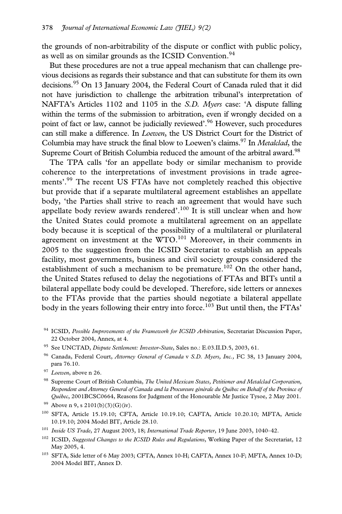the grounds of non-arbitrability of the dispute or conflict with public policy, as well as on similar grounds as the ICSID Convention.<sup>94</sup>

But these procedures are not a true appeal mechanism that can challenge previous decisions as regards their substance and that can substitute for them its own decisions.95 On 13 January 2004, the Federal Court of Canada ruled that it did not have jurisdiction to challenge the arbitration tribunal's interpretation of NAFTA's Articles 1102 and 1105 in the *S.D. Myers* case: 'A dispute falling within the terms of the submission to arbitration, even if wrongly decided on a point of fact or law, cannot be judicially reviewed'.<sup>96</sup> However, such procedures can still make a difference. In *Loewen*, the US District Court for the District of Columbia may have struck the final blow to Loewen's claims.97 In *Metalclad*, the Supreme Court of British Columbia reduced the amount of the arbitral award.<sup>98</sup>

The TPA calls 'for an appellate body or similar mechanism to provide coherence to the interpretations of investment provisions in trade agreements'.<sup>99</sup> The recent US FTAs have not completely reached this objective but provide that if a separate multilateral agreement establishes an appellate body, 'the Parties shall strive to reach an agreement that would have such appellate body review awards rendered'.<sup>100</sup> It is still unclear when and how the United States could promote a multilateral agreement on an appellate body because it is sceptical of the possibility of a multilateral or plurilateral agreement on investment at the WTO.<sup>101</sup> Moreover, in their comments in 2005 to the suggestion from the ICSID Secretariat to establish an appeals facility, most governments, business and civil society groups considered the establishment of such a mechanism to be premature.<sup>102</sup> On the other hand, the United States refused to delay the negotiations of FTAs and BITs until a bilateral appellate body could be developed. Therefore, side letters or annexes to the FTAs provide that the parties should negotiate a bilateral appellate body in the years following their entry into force.<sup>103</sup> But until then, the FTAs'

- <sup>94</sup> ICSID, *Possible Improvements of the Framework for ICSID Arbitration*, Secretariat Discussion Paper, 22 October 2004, Annex, at 4.
- <sup>95</sup> See UNCTAD, *Dispute Settlement: Investor-State*, Sales no.: E.03.II.D.5, 2003, 61.
- <sup>96</sup> Canada, Federal Court, *Attorney General of Canada* v *S.D. Myers, Inc.,* FC 38, 13 January 2004, para 76.10.
- <sup>97</sup> *Loewen*, above n 26.
- <sup>98</sup> Supreme Court of British Columbia, *The United Mexican States, Petitioner and Metalclad Corporation, Respondent and Attorney General of Canada and la Procureure générale du Québec on Behalf of the Province of Québec*, 2001BCSC0664, Reasons for Judgment of the Honourable Mr Justice Tysoe, 2 May 2001.
- <sup>99</sup> Above n 9, s 2101(b)(3)(G)(iv).
- <sup>100</sup> SFTA, Article 15.19.10; CFTA, Article 10.19.10; CAFTA, Article 10.20.10; MFTA, Article 10.19.10; 2004 Model BIT, Article 28.10.
- <sup>101</sup> *Inside US Trade*, 27 August 2003, 18; *International Trade Reporter*, 19 June 2003, 1040–42.
- <sup>102</sup> ICSID, *Suggested Changes to the ICSID Rules and Regulations*, Working Paper of the Secretariat, 12 May 2005, 4.
- <sup>103</sup> SFTA, Side letter of 6 May 2003; CFTA, Annex 10-H; CAFTA, Annex 10-F; MFTA, Annex 10-D; 2004 Model BIT, Annex D.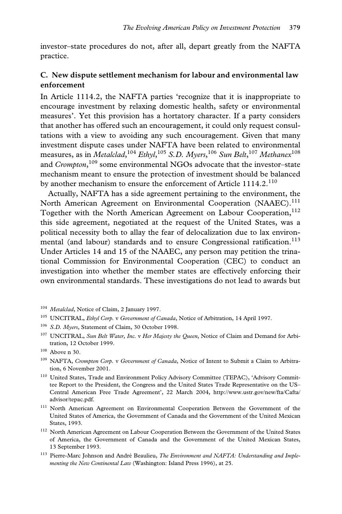investor–state procedures do not, after all, depart greatly from the NAFTA practice.

## **C. New dispute settlement mechanism for labour and environmental law enforcement**

In Article 1114.2, the NAFTA parties 'recognize that it is inappropriate to encourage investment by relaxing domestic health, safety or environmental measures'. Yet this provision has a hortatory character. If a party considers that another has offered such an encouragement, it could only request consultations with a view to avoiding any such encouragement. Given that many investment dispute cases under NAFTA have been related to environmental measures, as in *Metalclad*, <sup>104</sup> *Ethyl*, <sup>105</sup> *S.D. Myers*, <sup>106</sup> *Sun Belt*, <sup>107</sup> *Methanex*<sup>108</sup> and *Crompton*, 109 some environmental NGOs advocate that the investor–state mechanism meant to ensure the protection of investment should be balanced by another mechanism to ensure the enforcement of Article 1114.2.<sup>110</sup>

Actually, NAFTA has a side agreement pertaining to the environment, the North American Agreement on Environmental Cooperation (NAAEC).<sup>111</sup> Together with the North American Agreement on Labour Cooperation,<sup>112</sup> this side agreement, negotiated at the request of the United States, was a political necessity both to allay the fear of delocalization due to lax environmental (and labour) standards and to ensure Congressional ratification.<sup>113</sup> Under Articles 14 and 15 of the NAAEC, any person may petition the trinational Commission for Environmental Cooperation (CEC) to conduct an investigation into whether the member states are effectively enforcing their own environmental standards. These investigations do not lead to awards but

- <sup>105</sup> UNCITRAL, *Ethyl Corp.* v *Government of Canada*, Notice of Arbitration, 14 April 1997.
- <sup>106</sup> *S.D. Myers*, Statement of Claim, 30 October 1998.
- <sup>107</sup> UNCITRAL, *Sun Belt Water, Inc.* v *Her Majesty the Queen*, Notice of Claim and Demand for Arbitration, 12 October 1999.

- <sup>109</sup> NAFTA, *Crompton Corp.* v *Government of Canada*, Notice of Intent to Submit a Claim to Arbitration, 6 November 2001.
- <sup>110</sup> United States, Trade and Environment Policy Advisory Committee (TEPAC), 'Advisory Committee Report to the President, the Congress and the United States Trade Representative on the US– Central American Free Trade Agreement', 22 March 2004, [http://www.ustr.gov/new/fta/Cafta/](http://www.ustr.gov/new/fta/Cafta/advisor/tepac.pdf) [advisor/tepac.pdf.](http://www.ustr.gov/new/fta/Cafta/advisor/tepac.pdf)
- <sup>111</sup> North American Agreement on Environmental Cooperation Between the Government of the United States of America, the Government of Canada and the Government of the United Mexican States, 1993.
- <sup>112</sup> North American Agreement on Labour Cooperation Between the Government of the United States of America, the Government of Canada and the Government of the United Mexican States, 13 September 1993.
- <sup>113</sup> Pierre-Marc Johnson and André Beaulieu, *The Environment and NAFTA: Understanding and Implementing the New Continental Law* (Washington: Island Press 1996), at 25.

<sup>104</sup> *Metalclad*, Notice of Claim, 2 January 1997.

<sup>108</sup> Above n 30.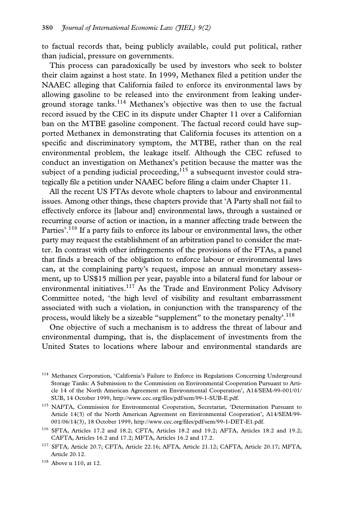to factual records that, being publicly available, could put political, rather than judicial, pressure on governments.

This process can paradoxically be used by investors who seek to bolster their claim against a host state. In 1999, Methanex filed a petition under the NAAEC alleging that California failed to enforce its environmental laws by allowing gasoline to be released into the environment from leaking underground storage tanks.<sup>114</sup> Methanex's objective was then to use the factual record issued by the CEC in its dispute under Chapter 11 over a Californian ban on the MTBE gasoline component. The factual record could have supported Methanex in demonstrating that California focuses its attention on a specific and discriminatory symptom, the MTBE, rather than on the real environmental problem, the leakage itself. Although the CEC refused to conduct an investigation on Methanex's petition because the matter was the subject of a pending judicial proceeding,  $115$  a subsequent investor could strategically file a petition under NAAEC before filing a claim under Chapter 11.

All the recent US FTAs devote whole chapters to labour and environmental issues. Among other things, these chapters provide that 'A Party shall not fail to effectively enforce its [labour and] environmental laws, through a sustained or recurring course of action or inaction, in a manner affecting trade between the Parties'.<sup>116</sup> If a party fails to enforce its labour or environmental laws, the other party may request the establishment of an arbitration panel to consider the matter. In contrast with other infringements of the provisions of the FTAs, a panel that finds a breach of the obligation to enforce labour or environmental laws can, at the complaining party's request, impose an annual monetary assessment, up to US\$15 million per year, payable into a bilateral fund for labour or environmental initiatives.<sup>117</sup> As the Trade and Environment Policy Advisory Committee noted, 'the high level of visibility and resultant embarrassment associated with such a violation, in conjunction with the transparency of the process, would likely be a sizeable "supplement" to the monetary penalty'.<sup>118</sup>

One objective of such a mechanism is to address the threat of labour and environmental dumping, that is, the displacement of investments from the United States to locations where labour and environmental standards are

<sup>114</sup> Methanex Corporation, 'California's Failure to Enforce its Regulations Concerning Underground Storage Tanks: A Submission to the Commission on Environmental Cooperation Pursuant to Article 14 of the North American Agreement on Environmental Cooperation', A14/SEM-99-001/01/ SUB, 14 October 1999, [http://www.cec.org/files/pdf/sem/99-1-SUB-E.pdf.](http://www.cec.org/files/pdf/sem/99-1-SUB-E.pdf)

<sup>115</sup> NAFTA, Commission for Environmental Cooperation, Secretariat, 'Determination Pursuant to Article 14(3) of the North American Agreement on Environmental Cooperation', A14/SEM/99- 001/06/14(3), 18 October 1999, [http://www.cec.org/files/pdf/sem/99-1-DET-E1.pdf.](http://www.cec.org/files/pdf/sem/99-1-DET-E1.pdf)

<sup>116</sup> SFTA, Articles 17.2 and 18.2; CFTA, Articles 18.2 and 19.2; AFTA, Articles 18.2 and 19.2; CAFTA, Articles 16.2 and 17.2; MFTA, Articles 16.2 and 17.2.

<sup>117</sup> SFTA, Article 20.7; CFTA, Article 22.16; AFTA, Article 21.12; CAFTA, Article 20.17; MFTA, Article 20.12.

<sup>118</sup> Above n 110, at 12.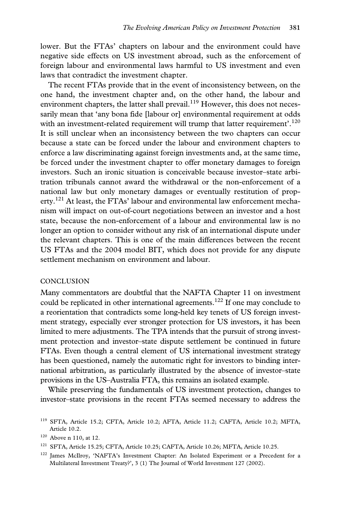lower. But the FTAs' chapters on labour and the environment could have negative side effects on US investment abroad, such as the enforcement of foreign labour and environmental laws harmful to US investment and even laws that contradict the investment chapter.

The recent FTAs provide that in the event of inconsistency between, on the one hand, the investment chapter and, on the other hand, the labour and environment chapters, the latter shall prevail.<sup>119</sup> However, this does not necessarily mean that 'any bona fide [labour or] environmental requirement at odds with an investment-related requirement will trump that latter requirement'.<sup>120</sup> It is still unclear when an inconsistency between the two chapters can occur because a state can be forced under the labour and environment chapters to enforce a law discriminating against foreign investments and, at the same time, be forced under the investment chapter to offer monetary damages to foreign investors. Such an ironic situation is conceivable because investor–state arbitration tribunals cannot award the withdrawal or the non-enforcement of a national law but only monetary damages or eventually restitution of property.<sup>121</sup> At least, the FTAs' labour and environmental law enforcement mechanism will impact on out-of-court negotiations between an investor and a host state, because the non-enforcement of a labour and environmental law is no longer an option to consider without any risk of an international dispute under the relevant chapters. This is one of the main differences between the recent US FTAs and the 2004 model BIT, which does not provide for any dispute settlement mechanism on environment and labour.

#### conclusion

Many commentators are doubtful that the NAFTA Chapter 11 on investment could be replicated in other international agreements.<sup>122</sup> If one may conclude to a reorientation that contradicts some long-held key tenets of US foreign investment strategy, especially ever stronger protection for US investors, it has been limited to mere adjustments. The TPA intends that the pursuit of strong investment protection and investor–state dispute settlement be continued in future FTAs. Even though a central element of US international investment strategy has been questioned, namely the automatic right for investors to binding international arbitration, as particularly illustrated by the absence of investor–state provisions in the US–Australia FTA, this remains an isolated example.

While preserving the fundamentals of US investment protection, changes to investor–state provisions in the recent FTAs seemed necessary to address the

<sup>119</sup> SFTA, Article 15.2; CFTA, Article 10.2; AFTA, Article 11.2; CAFTA, Article 10.2; MFTA, Article 10.2.

<sup>&</sup>lt;sup>120</sup> Above n 110, at 12.

<sup>121</sup> SFTA, Article 15.25; CFTA, Article 10.25; CAFTA, Article 10.26; MFTA, Article 10.25.

<sup>&</sup>lt;sup>122</sup> James McIlroy, 'NAFTA's Investment Chapter: An Isolated Experiment or a Precedent for a Multilateral Investment Treaty?', 3 (1) The Journal of World Investment 127 (2002).